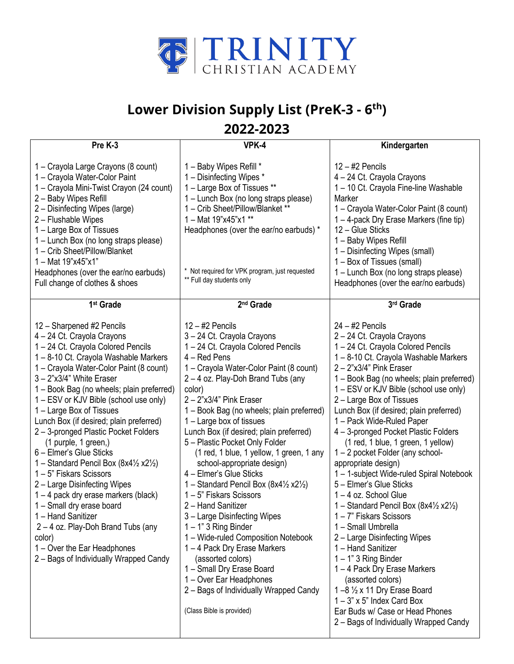

## **Lower Division Supply List (PreK-3 - 6 th)**

## **2022-2023**

| Pre K-3                                                                                                                                                                                                                                                                                                                                                                                                                                                                                                                                                                                                                                                                                                                                                                                                          | VPK-4                                                                                                                                                                                                                                                                                                                                                                                                                                                                                                                                                                                                                                                                                                                                                                                                                                                             | Kindergarten                                                                                                                                                                                                                                                                                                                                                                                                                                                                                                                                                                                                                                                                                                                                                                                                                                                                                                                                                                                  |
|------------------------------------------------------------------------------------------------------------------------------------------------------------------------------------------------------------------------------------------------------------------------------------------------------------------------------------------------------------------------------------------------------------------------------------------------------------------------------------------------------------------------------------------------------------------------------------------------------------------------------------------------------------------------------------------------------------------------------------------------------------------------------------------------------------------|-------------------------------------------------------------------------------------------------------------------------------------------------------------------------------------------------------------------------------------------------------------------------------------------------------------------------------------------------------------------------------------------------------------------------------------------------------------------------------------------------------------------------------------------------------------------------------------------------------------------------------------------------------------------------------------------------------------------------------------------------------------------------------------------------------------------------------------------------------------------|-----------------------------------------------------------------------------------------------------------------------------------------------------------------------------------------------------------------------------------------------------------------------------------------------------------------------------------------------------------------------------------------------------------------------------------------------------------------------------------------------------------------------------------------------------------------------------------------------------------------------------------------------------------------------------------------------------------------------------------------------------------------------------------------------------------------------------------------------------------------------------------------------------------------------------------------------------------------------------------------------|
| 1 - Crayola Large Crayons (8 count)<br>1 - Crayola Water-Color Paint<br>1 - Crayola Mini-Twist Crayon (24 count)<br>2 - Baby Wipes Refill<br>2 - Disinfecting Wipes (large)<br>2 - Flushable Wipes<br>1 - Large Box of Tissues<br>1 – Lunch Box (no long straps please)<br>1 - Crib Sheet/Pillow/Blanket<br>1 - Mat 19"x45"x1"<br>Headphones (over the ear/no earbuds)<br>Full change of clothes & shoes                                                                                                                                                                                                                                                                                                                                                                                                         | 1 - Baby Wipes Refill *<br>1 - Disinfecting Wipes *<br>1 - Large Box of Tissues **<br>1 – Lunch Box (no long straps please)<br>1 - Crib Sheet/Pillow/Blanket **<br>1 - Mat 19"x45"x1 **<br>Headphones (over the ear/no earbuds) *<br>* Not required for VPK program, just requested<br>** Full day students only                                                                                                                                                                                                                                                                                                                                                                                                                                                                                                                                                  | $12 - #2$ Pencils<br>4 - 24 Ct. Crayola Crayons<br>1-10 Ct. Crayola Fine-line Washable<br>Marker<br>1 - Crayola Water-Color Paint (8 count)<br>1 - 4-pack Dry Erase Markers (fine tip)<br>12 - Glue Sticks<br>1 - Baby Wipes Refill<br>1 - Disinfecting Wipes (small)<br>1 – Box of Tissues (small)<br>1 - Lunch Box (no long straps please)<br>Headphones (over the ear/no earbuds)                                                                                                                                                                                                                                                                                                                                                                                                                                                                                                                                                                                                          |
| 1 <sup>st</sup> Grade                                                                                                                                                                                                                                                                                                                                                                                                                                                                                                                                                                                                                                                                                                                                                                                            | 2 <sup>nd</sup> Grade                                                                                                                                                                                                                                                                                                                                                                                                                                                                                                                                                                                                                                                                                                                                                                                                                                             | 3rd Grade                                                                                                                                                                                                                                                                                                                                                                                                                                                                                                                                                                                                                                                                                                                                                                                                                                                                                                                                                                                     |
| 12 - Sharpened #2 Pencils<br>4 - 24 Ct. Crayola Crayons<br>1-24 Ct. Crayola Colored Pencils<br>1-8-10 Ct. Crayola Washable Markers<br>1 - Crayola Water-Color Paint (8 count)<br>$3 - 2"x3/4"$ White Eraser<br>1 - Book Bag (no wheels; plain preferred)<br>1 – ESV or KJV Bible (school use only)<br>1 - Large Box of Tissues<br>Lunch Box (if desired; plain preferred)<br>2 - 3-pronged Plastic Pocket Folders<br>(1 purple, 1 green,)<br>6 - Elmer's Glue Sticks<br>1 – Standard Pencil Box $(8x4\frac{1}{2}x2\frac{1}{2})$<br>1 – 5" Fiskars Scissors<br>2 - Large Disinfecting Wipes<br>$1 - 4$ pack dry erase markers (black)<br>1 - Small dry erase board<br>1 - Hand Sanitizer<br>2 - 4 oz. Play-Doh Brand Tubs (any<br>color)<br>1 – Over the Ear Headphones<br>2 – Bags of Individually Wrapped Candy | $12 - #2$ Pencils<br>3-24 Ct. Crayola Crayons<br>1-24 Ct. Crayola Colored Pencils<br>$4 - Red$ Pens<br>1 - Crayola Water-Color Paint (8 count)<br>2-4 oz. Play-Doh Brand Tubs (any<br>color)<br>$2 - 2"x3/4"$ Pink Eraser<br>1 - Book Bag (no wheels; plain preferred)<br>1 – Large box of tissues<br>Lunch Box (if desired; plain preferred)<br>5 - Plastic Pocket Only Folder<br>(1 red, 1 blue, 1 yellow, 1 green, 1 any<br>school-appropriate design)<br>4 - Elmer's Glue Sticks<br>1 - Standard Pencil Box (8x41/2 x21/2)<br>1-5" Fiskars Scissors<br>2 - Hand Sanitizer<br>3 - Large Disinfecting Wipes<br>$1 - 1$ " 3 Ring Binder<br>1 - Wide-ruled Composition Notebook<br>1-4 Pack Dry Erase Markers<br>(assorted colors)<br>1 - Small Dry Erase Board<br>1 – Over Ear Headphones<br>2 - Bags of Individually Wrapped Candy<br>(Class Bible is provided) | $24 - 42$ Pencils<br>2 - 24 Ct. Crayola Crayons<br>1-24 Ct. Crayola Colored Pencils<br>1-8-10 Ct. Crayola Washable Markers<br>$2 - 2"x3/4"$ Pink Eraser<br>1 - Book Bag (no wheels; plain preferred)<br>1 – ESV or KJV Bible (school use only)<br>2 - Large Box of Tissues<br>Lunch Box (if desired; plain preferred)<br>1 - Pack Wide-Ruled Paper<br>4 - 3-pronged Pocket Plastic Folders<br>(1 red, 1 blue, 1 green, 1 yellow)<br>1-2 pocket Folder (any school-<br>appropriate design)<br>1-1-subject Wide-ruled Spiral Notebook<br>5 - Elmer's Glue Sticks<br>$1 - 4$ oz. School Glue<br>1 - Standard Pencil Box (8x4 $\frac{1}{2}$ x2 $\frac{1}{2}$ )<br>1 - 7" Fiskars Scissors<br>1 - Small Umbrella<br>2 - Large Disinfecting Wipes<br>1 - Hand Sanitizer<br>$1 - 1$ " 3 Ring Binder<br>1-4 Pack Dry Erase Markers<br>(assorted colors)<br>1-8 1/2 x 11 Dry Erase Board<br>$1 - 3$ " x 5" Index Card Box<br>Ear Buds w/ Case or Head Phones<br>2 - Bags of Individually Wrapped Candy |